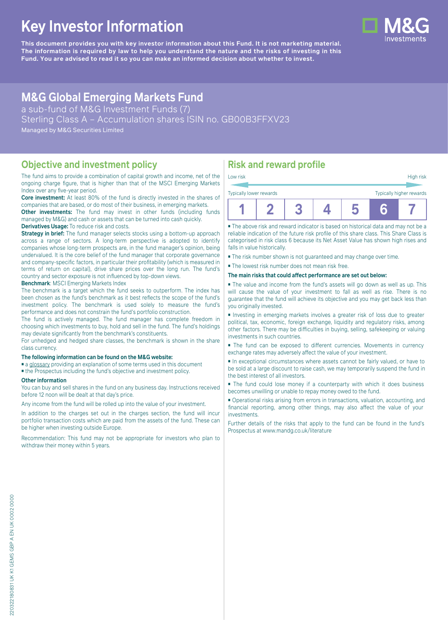# **Key Investor Information**

**This document provides you with key investor information about this Fund. It is not marketing material.** The information is required by law to help you understand the nature and the risks of investing in this **Fund. You are advised to read it so you can make an informed decision about whether to invest.**

## **M&G Global Emerging Markets Fund**

a sub-fund of M&G Investment Funds (7)

Sterling Class A – Accumulation shares ISIN no. GB00B3FFXV23

Managed by M&G Securities Limited

#### **Objective and investment policy**

The fund aims to provide a combination of capital growth and income, net of the ongoing charge figure, that is higher than that of the MSCI Emerging Markets Index over any five-year period.

**Core investment:** At least 80% of the fund is directly invested in the shares of companies that are based, or do most of their business, in emerging markets.

**Other investments:** The fund may invest in other funds (including funds managed by M&G) and cash or assets that can be turned into cash quickly. **Derivatives Usage:** To reduce risk and costs.

**Strategy in brief:** The fund manager selects stocks using a bottom-up approach across a range of sectors. A long-term perspective is adopted to identify companies whose long-term prospects are, in the fund manager's opinion, being undervalued. It is the core belief of the fund manager that corporate governance and company-specific factors, in particular their profitability (which is measured in terms of return on capital), drive share prices over the long run. The fund's country and sector exposure is not influenced by top-down views.

#### **Benchmark**: MSCI Emerging Markets Index

The benchmark is a target which the fund seeks to outperform. The index has been chosen as the fund's benchmark as it best reflects the scope of the fund's investment policy. The benchmark is used solely to measure the fund's performance and does not constrain the fund's portfolio construction.

The fund is actively managed. The fund manager has complete freedom in choosing which investments to buy, hold and sell in the fund. The fund's holdings may deviate significantly from the benchmark's constituents.

For unhedged and hedged share classes, the benchmark is shown in the share class currency.

#### **The following information can be found on the M&G website:**

■ [a glossary](https://docs.mandg.com/docs/glossary-master-en.pdf) providing an explanation of some terms used in this document

■ the Prospectus including the fund's objective and investment policy.

#### **Other information**

You can buy and sell shares in the fund on any business day. Instructions received before 12 noon will be dealt at that day's price.

Any income from the fund will be rolled up into the value of your investment.

In addition to the charges set out in the charges section, the fund will incur portfolio transaction costs which are paid from the assets of the fund. These can be higher when investing outside Europe.

Recommendation: This fund may not be appropriate for investors who plan to withdraw their money within 5 years.

### **Risk and reward profile**

| Low risk                |  |  | High risk                |
|-------------------------|--|--|--------------------------|
| Typically lower rewards |  |  | Typically higher rewards |
|                         |  |  |                          |

■ The above risk and reward indicator is based on historical data and may not be a reliable indication of the future risk profile of this share class. This Share Class is categorised in risk class 6 because its Net Asset Value has shown high rises and falls in value historically.

■ The risk number shown is not guaranteed and may change over time.

■ The lowest risk number does not mean risk free.

#### **The main risks that could affect performance are set out below:**

■ The value and income from the fund's assets will go down as well as up. This will cause the value of your investment to fall as well as rise. There is no guarantee that the fund will achieve its objective and you may get back less than you originally invested.

■ Investing in emerging markets involves a greater risk of loss due to greater political, tax, economic, foreign exchange, liquidity and regulatory risks, among other factors. There may be difficulties in buying, selling, safekeeping or valuing investments in such countries.

■ The fund can be exposed to different currencies. Movements in currency exchange rates may adversely affect the value of your investment.

■ In exceptional circumstances where assets cannot be fairly valued, or have to be sold at a large discount to raise cash, we may temporarily suspend the fund in the best interest of all investors.

■ The fund could lose money if a counterparty with which it does business becomes unwilling or unable to repay money owed to the fund.

■ Operational risks arising from errors in transactions, valuation, accounting, and financial reporting, among other things, may also affect the value of your investments.

Further details of the risks that apply to the fund can be found in the fund's Prospectus at [www.mandg.co.uk/literature](http://www.mandg.co.uk/literature)